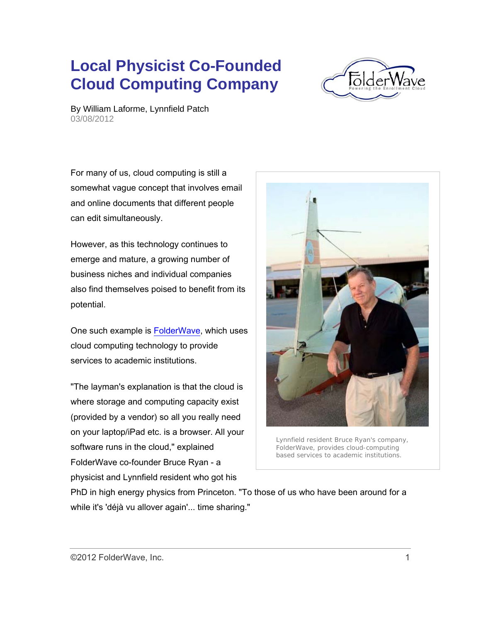## **Local Physicist Co-Founded Cloud Computing Company**



By William Laforme, Lynnfield Patch 03/08/2012

For many of us, cloud computing is still a somewhat vague concept that involves email and online documents that different people can edit simultaneously.

However, as this technology continues to emerge and mature, a growing number of business niches and individual companies also find themselves poised to benefit from its potential.

One such example is FolderWave, which uses cloud computing technology to provide services to academic institutions.

"The layman's explanation is that the cloud is where storage and computing capacity exist (provided by a vendor) so all you really need on your laptop/iPad etc. is a browser. All your software runs in the cloud," explained FolderWave co-founder Bruce Ryan - a physicist and Lynnfield resident who got his



Lynnfield resident Bruce Ryan's company, FolderWave, provides cloud-computing based services to academic institutions.

PhD in high energy physics from Princeton. "To those of us who have been around for a while it's 'déjà vu allover again'... time sharing."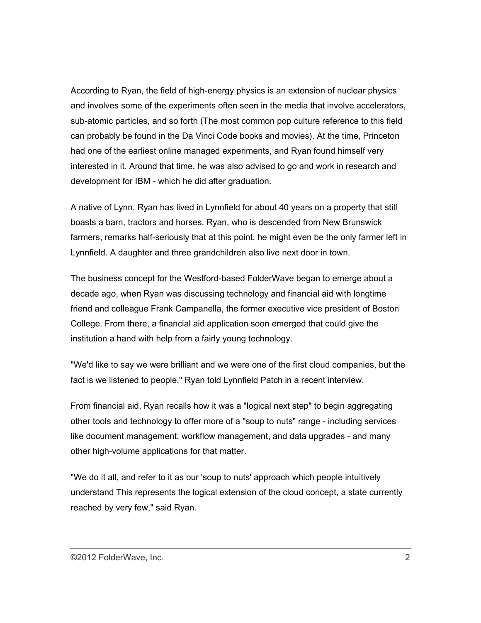According to Ryan, the field of high-energy physics is an extension of nuclear physics and involves some of the experiments often seen in the media that involve accelerators, sub-atomic particles, and so forth (The most common pop culture reference to this field can probably be found in the Da Vinci Code books and movies). At the time, Princeton had one of the earliest online managed experiments, and Ryan found himself very interested in it. Around that time, he was also advised to go and work in research and development for IBM - which he did after graduation.

A native of Lynn, Ryan has lived in Lynnfield for about 40 years on a property that still boasts a barn, tractors and horses. Ryan, who is descended from New Brunswick farmers, remarks half-seriously that at this point, he might even be the only farmer left in Lynnfield. A daughter and three grandchildren also live next door in town.

The business concept for the Westford-based FolderWave began to emerge about a decade ago, when Ryan was discussing technology and financial aid with longtime friend and colleague Frank Campanella, the former executive vice president of Boston College. From there, a financial aid application soon emerged that could give the institution a hand with help from a fairly young technology.

"We'd like to say we were brilliant and we were one of the first cloud companies, but the fact is we listened to people," Ryan told Lynnfield Patch in a recent interview.

From financial aid, Ryan recalls how it was a "logical next step" to begin aggregating other tools and technology to offer more of a "soup to nuts" range - including services like document management, workflow management, and data upgrades - and many other high-volume applications for that matter.

"We do it all, and refer to it as our 'soup to nuts' approach which people intuitively understand This represents the logical extension of the cloud concept, a state currently reached by very few," said Ryan.